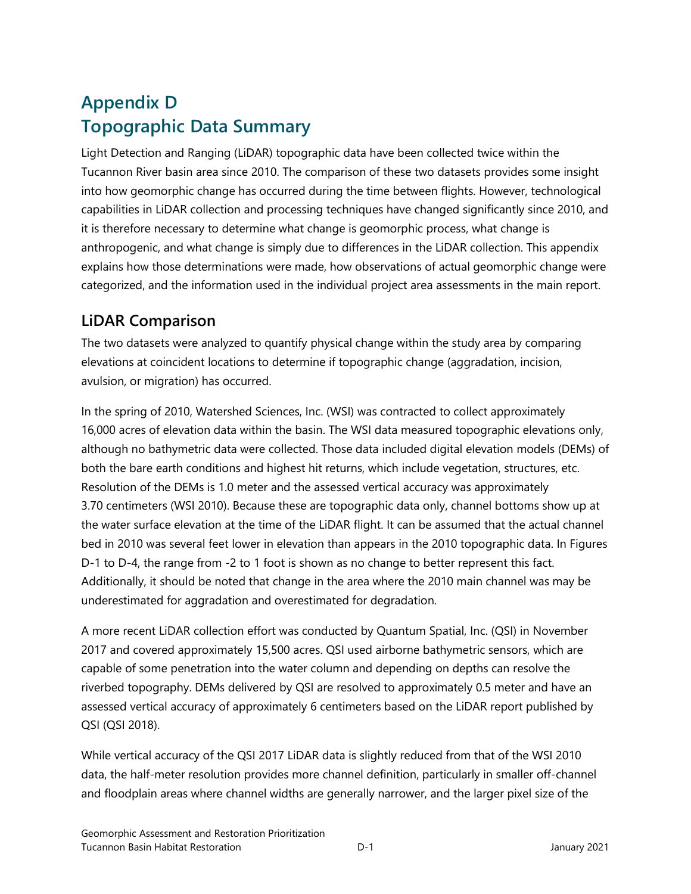# **Appendix D Topographic Data Summary**

Light Detection and Ranging (LiDAR) topographic data have been collected twice within the Tucannon River basin area since 2010. The comparison of these two datasets provides some insight into how geomorphic change has occurred during the time between flights. However, technological capabilities in LiDAR collection and processing techniques have changed significantly since 2010, and it is therefore necessary to determine what change is geomorphic process, what change is anthropogenic, and what change is simply due to differences in the LiDAR collection. This appendix explains how those determinations were made, how observations of actual geomorphic change were categorized, and the information used in the individual project area assessments in the main report.

### **LiDAR Comparison**

The two datasets were analyzed to quantify physical change within the study area by comparing elevations at coincident locations to determine if topographic change (aggradation, incision, avulsion, or migration) has occurred.

In the spring of 2010, Watershed Sciences, Inc. (WSI) was contracted to collect approximately 16,000 acres of elevation data within the basin. The WSI data measured topographic elevations only, although no bathymetric data were collected. Those data included digital elevation models (DEMs) of both the bare earth conditions and highest hit returns, which include vegetation, structures, etc. Resolution of the DEMs is 1.0 meter and the assessed vertical accuracy was approximately 3.70 centimeters (WSI 2010). Because these are topographic data only, channel bottoms show up at the water surface elevation at the time of the LiDAR flight. It can be assumed that the actual channel bed in 2010 was several feet lower in elevation than appears in the 2010 topographic data. In Figures D-1 to D-4, the range from -2 to 1 foot is shown as no change to better represent this fact. Additionally, it should be noted that change in the area where the 2010 main channel was may be underestimated for aggradation and overestimated for degradation.

A more recent LiDAR collection effort was conducted by Quantum Spatial, Inc. (QSI) in November 2017 and covered approximately 15,500 acres. QSI used airborne bathymetric sensors, which are capable of some penetration into the water column and depending on depths can resolve the riverbed topography. DEMs delivered by QSI are resolved to approximately 0.5 meter and have an assessed vertical accuracy of approximately 6 centimeters based on the LiDAR report published by QSI (QSI 2018).

While vertical accuracy of the QSI 2017 LiDAR data is slightly reduced from that of the WSI 2010 data, the half-meter resolution provides more channel definition, particularly in smaller off-channel and floodplain areas where channel widths are generally narrower, and the larger pixel size of the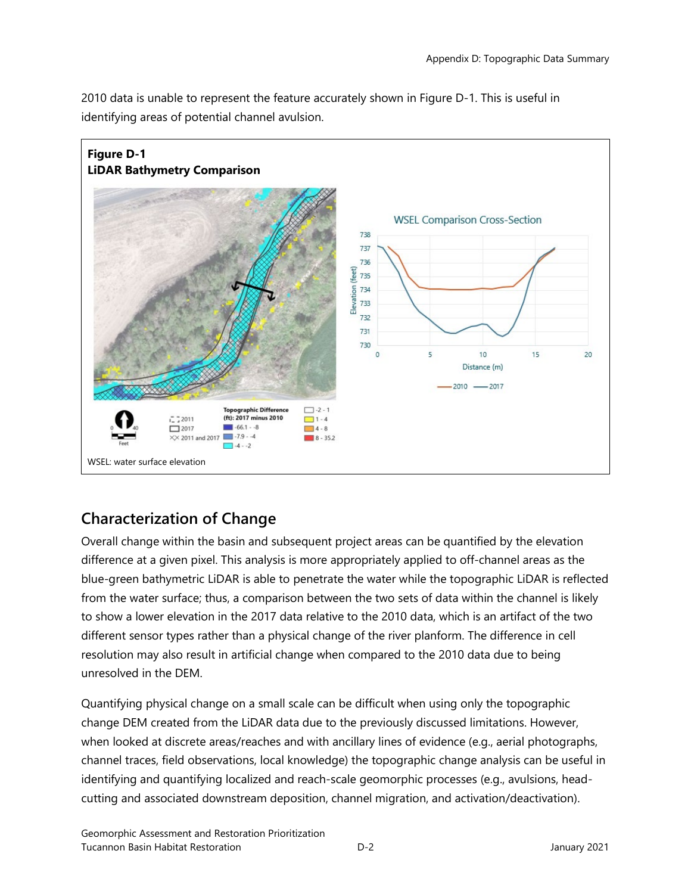

5

 $10$ 

Distance (m)  $-2010$  -2017  $15$ 

 $20$ 

2010 data is unable to represent the feature accurately shown in Figure D-1. This is useful in identifying areas of potential channel avulsion.

## **Characterization of Change**

 $-72011$ 

 $\boxed{2017}$ 

**Topographic Difference** 

(ft): 2017 minus 2010

 $-66.1 - 8$ 

 $7 - 4 - 2$ 

 $\overline{\times}$  2011 and 2017  $\overline{\phantom{0}}$ -7.9 - -4

 $\Box$ -2 - 1

 $\Box$ 1-4

 $\Box$  4 - 8

 $8 - 35.2$ 

WSEL: water surface elevation

Overall change within the basin and subsequent project areas can be quantified by the elevation difference at a given pixel. This analysis is more appropriately applied to off-channel areas as the blue-green bathymetric LiDAR is able to penetrate the water while the topographic LiDAR is reflected from the water surface; thus, a comparison between the two sets of data within the channel is likely to show a lower elevation in the 2017 data relative to the 2010 data, which is an artifact of the two different sensor types rather than a physical change of the river planform. The difference in cell resolution may also result in artificial change when compared to the 2010 data due to being unresolved in the DEM.

Quantifying physical change on a small scale can be difficult when using only the topographic change DEM created from the LiDAR data due to the previously discussed limitations. However, when looked at discrete areas/reaches and with ancillary lines of evidence (e.g., aerial photographs, channel traces, field observations, local knowledge) the topographic change analysis can be useful in identifying and quantifying localized and reach-scale geomorphic processes (e.g., avulsions, headcutting and associated downstream deposition, channel migration, and activation/deactivation).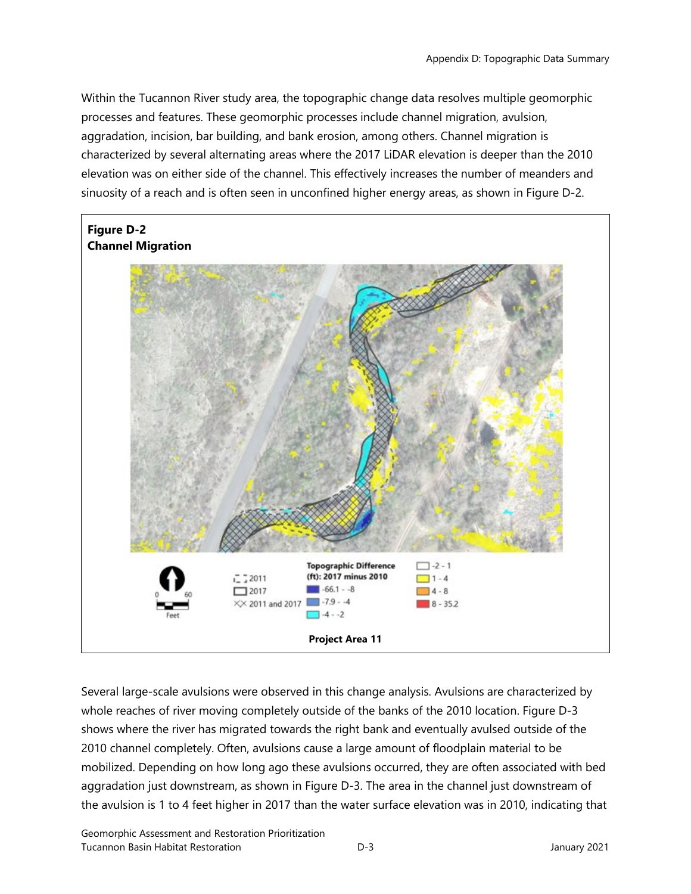Within the Tucannon River study area, the topographic change data resolves multiple geomorphic processes and features. These geomorphic processes include channel migration, avulsion, aggradation, incision, bar building, and bank erosion, among others. Channel migration is characterized by several alternating areas where the 2017 LiDAR elevation is deeper than the 2010 elevation was on either side of the channel. This effectively increases the number of meanders and sinuosity of a reach and is often seen in unconfined higher energy areas, as shown in Figure D-2.



Several large-scale avulsions were observed in this change analysis. Avulsions are characterized by whole reaches of river moving completely outside of the banks of the 2010 location. Figure D-3 shows where the river has migrated towards the right bank and eventually avulsed outside of the 2010 channel completely. Often, avulsions cause a large amount of floodplain material to be mobilized. Depending on how long ago these avulsions occurred, they are often associated with bed aggradation just downstream, as shown in Figure D-3. The area in the channel just downstream of the avulsion is 1 to 4 feet higher in 2017 than the water surface elevation was in 2010, indicating that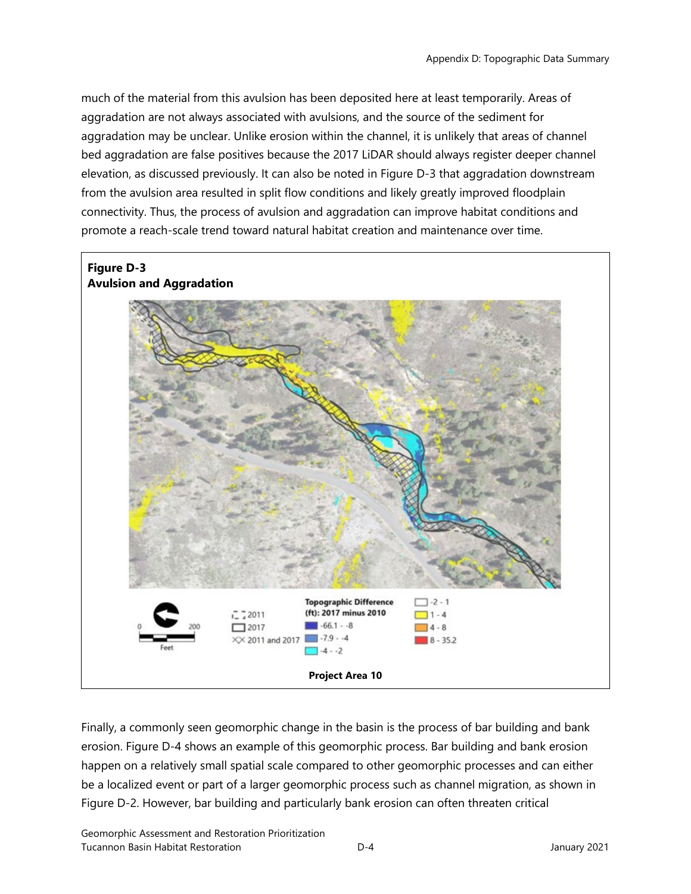much of the material from this avulsion has been deposited here at least temporarily. Areas of aggradation are not always associated with avulsions, and the source of the sediment for aggradation may be unclear. Unlike erosion within the channel, it is unlikely that areas of channel bed aggradation are false positives because the 2017 LiDAR should always register deeper channel elevation, as discussed previously. It can also be noted in Figure D-3 that aggradation downstream from the avulsion area resulted in split flow conditions and likely greatly improved floodplain connectivity. Thus, the process of avulsion and aggradation can improve habitat conditions and promote a reach-scale trend toward natural habitat creation and maintenance over time.

#### **Figure D-3 Avulsion and Aggradation**



Finally, a commonly seen geomorphic change in the basin is the process of bar building and bank erosion. Figure D-4 shows an example of this geomorphic process. Bar building and bank erosion happen on a relatively small spatial scale compared to other geomorphic processes and can either be a localized event or part of a larger geomorphic process such as channel migration, as shown in Figure D-2. However, bar building and particularly bank erosion can often threaten critical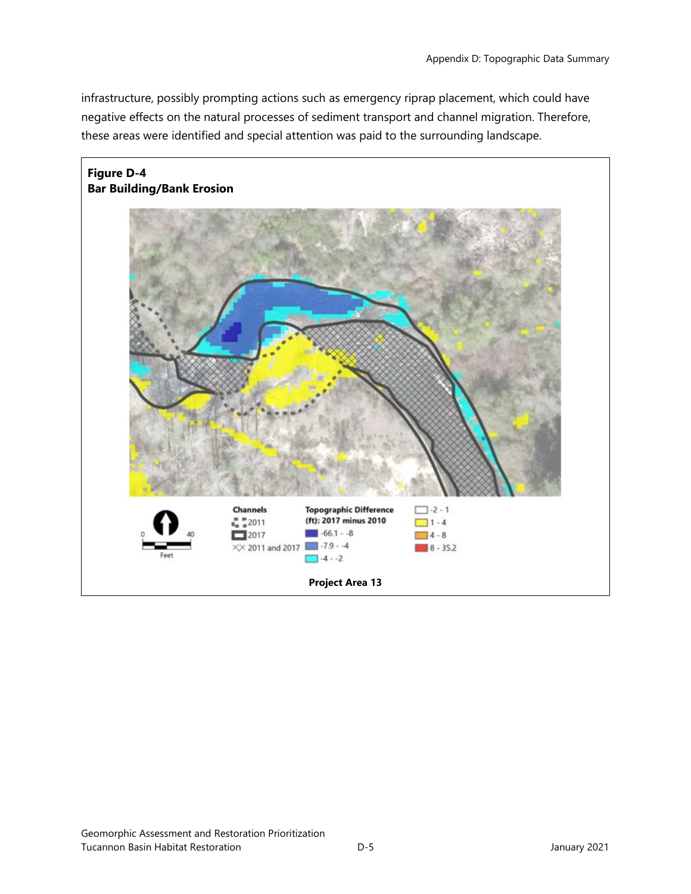infrastructure, possibly prompting actions such as emergency riprap placement, which could have negative effects on the natural processes of sediment transport and channel migration. Therefore, these areas were identified and special attention was paid to the surrounding landscape.

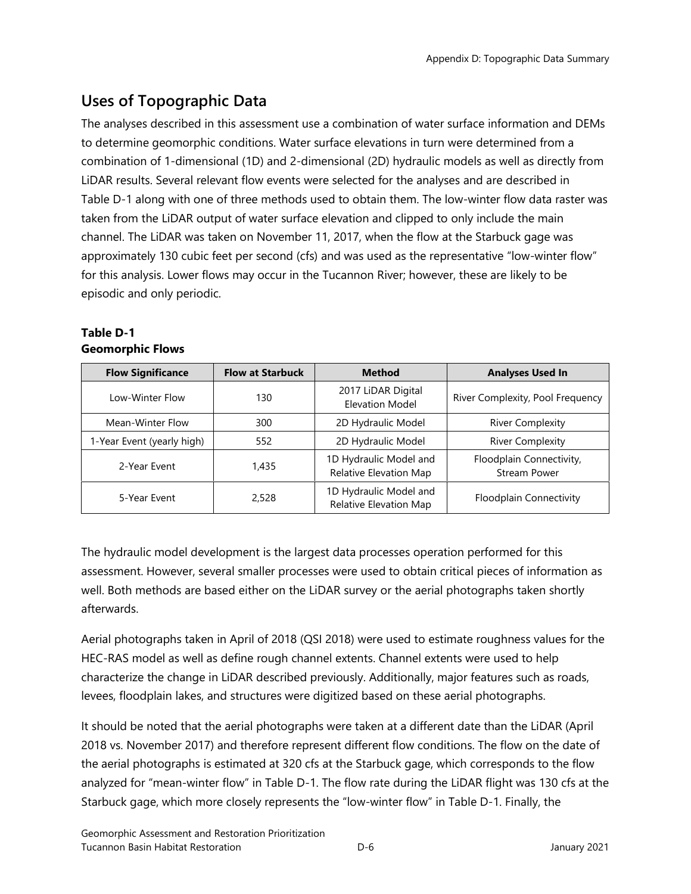# **Uses of Topographic Data**

The analyses described in this assessment use a combination of water surface information and DEMs to determine geomorphic conditions. Water surface elevations in turn were determined from a combination of 1-dimensional (1D) and 2-dimensional (2D) hydraulic models as well as directly from LiDAR results. Several relevant flow events were selected for the analyses and are described in Table D-1 along with one of three methods used to obtain them. The low-winter flow data raster was taken from the LiDAR output of water surface elevation and clipped to only include the main channel. The LiDAR was taken on November 11, 2017, when the flow at the Starbuck gage was approximately 130 cubic feet per second (cfs) and was used as the representative "low-winter flow" for this analysis. Lower flows may occur in the Tucannon River; however, these are likely to be episodic and only periodic.

| <b>Flow Significance</b>   | <b>Flow at Starbuck</b> | <b>Method</b>                                    | <b>Analyses Used In</b>                         |
|----------------------------|-------------------------|--------------------------------------------------|-------------------------------------------------|
| Low-Winter Flow            | 130                     | 2017 LiDAR Digital<br><b>Elevation Model</b>     | River Complexity, Pool Frequency                |
| Mean-Winter Flow           | 300                     | 2D Hydraulic Model                               | <b>River Complexity</b>                         |
| 1-Year Event (yearly high) | 552                     | 2D Hydraulic Model                               | <b>River Complexity</b>                         |
| 2-Year Event               | 1,435                   | 1D Hydraulic Model and<br>Relative Elevation Map | Floodplain Connectivity,<br><b>Stream Power</b> |
| 5-Year Fyent               | 2,528                   | 1D Hydraulic Model and<br>Relative Elevation Map | <b>Floodplain Connectivity</b>                  |

#### **Table D-1 Geomorphic Flows**

The hydraulic model development is the largest data processes operation performed for this assessment. However, several smaller processes were used to obtain critical pieces of information as well. Both methods are based either on the LiDAR survey or the aerial photographs taken shortly afterwards.

Aerial photographs taken in April of 2018 (QSI 2018) were used to estimate roughness values for the HEC-RAS model as well as define rough channel extents. Channel extents were used to help characterize the change in LiDAR described previously. Additionally, major features such as roads, levees, floodplain lakes, and structures were digitized based on these aerial photographs.

It should be noted that the aerial photographs were taken at a different date than the LiDAR (April 2018 vs. November 2017) and therefore represent different flow conditions. The flow on the date of the aerial photographs is estimated at 320 cfs at the Starbuck gage, which corresponds to the flow analyzed for "mean-winter flow" in Table D-1. The flow rate during the LiDAR flight was 130 cfs at the Starbuck gage, which more closely represents the "low-winter flow" in Table D-1. Finally, the